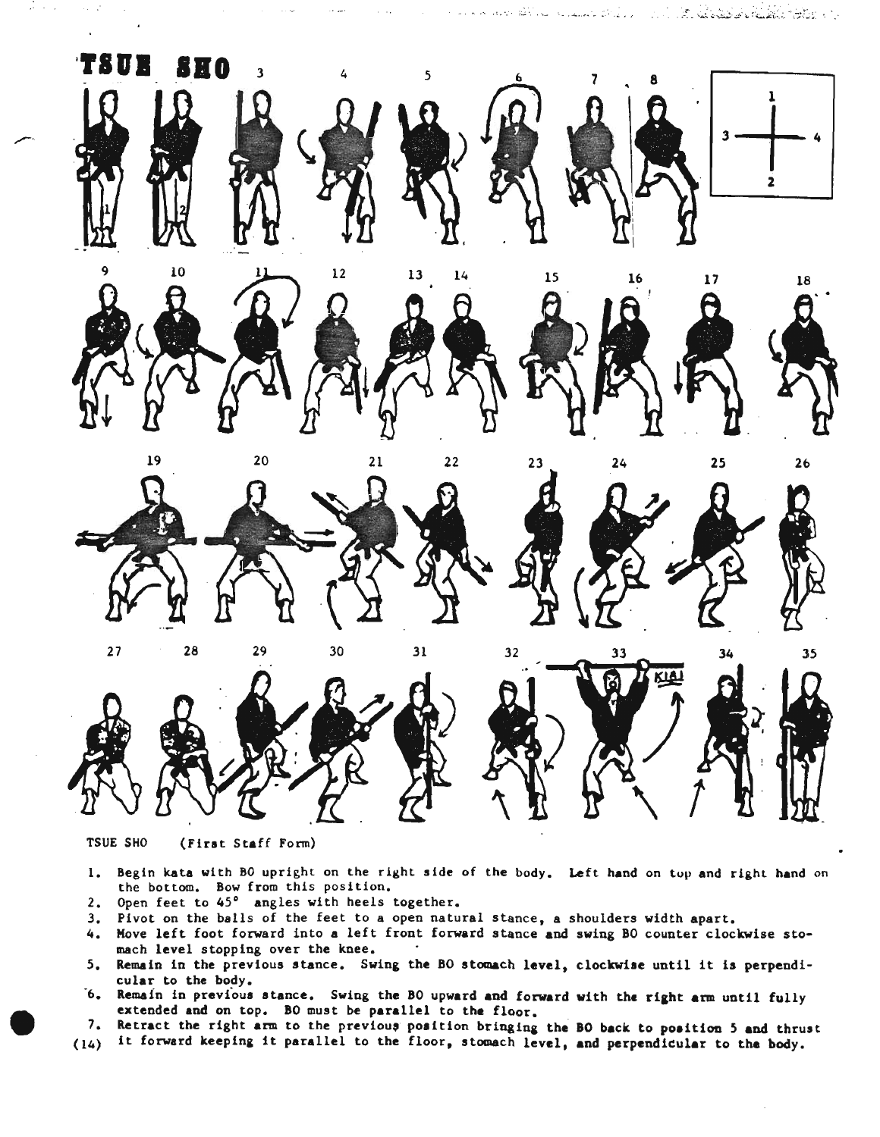

;;~ ..""- *.. -* \_~>.~.J

",-.

TSUE SHO (Firat Staff Form)

- 1. Begin kata with BO upright on the right side of the body. Left hand on top and right hand on the bottom. Bow from this position.
- 2. Open feet to  $45^\circ$  angles with heels together.
- 3. Pivot on the balls of the feet to a open natural stance, a shoulders width apart.
- 4. Move left foot forward into a left front forward stance and swing 80 counter clockwise stomach level stopping over the knee.
- 5. Remain in the previous stance. Swing the <sup>80</sup> atomach level, clockwise until it is perpendicular to the body.
- 6. Remain in previous stance. Swing the BO upward and forward with the right arm until fully extended and on top. 80 must be parallel to the floor.
- 7. Retract the right arm to the previous position bringing the BO back to position 5 and thrust
- (14) it forward keeping it parallel to the floor, stomach level, and perpendieular to the body.